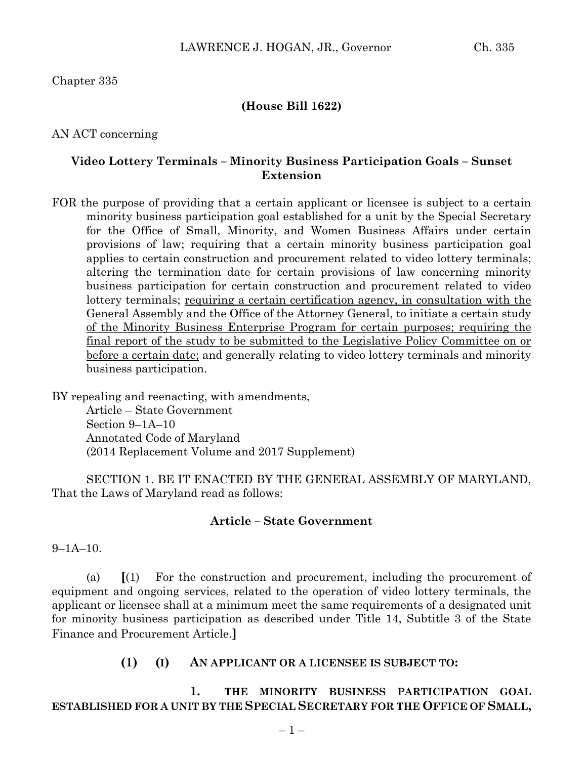Chapter 335

## **(House Bill 1622)**

AN ACT concerning

## **Video Lottery Terminals – Minority Business Participation Goals – Sunset Extension**

FOR the purpose of providing that a certain applicant or licensee is subject to a certain minority business participation goal established for a unit by the Special Secretary for the Office of Small, Minority, and Women Business Affairs under certain provisions of law; requiring that a certain minority business participation goal applies to certain construction and procurement related to video lottery terminals; altering the termination date for certain provisions of law concerning minority business participation for certain construction and procurement related to video lottery terminals; requiring a certain certification agency, in consultation with the General Assembly and the Office of the Attorney General, to initiate a certain study of the Minority Business Enterprise Program for certain purposes; requiring the final report of the study to be submitted to the Legislative Policy Committee on or before a certain date; and generally relating to video lottery terminals and minority business participation.

BY repealing and reenacting, with amendments,

Article – State Government Section 9–1A–10 Annotated Code of Maryland (2014 Replacement Volume and 2017 Supplement)

SECTION 1. BE IT ENACTED BY THE GENERAL ASSEMBLY OF MARYLAND, That the Laws of Maryland read as follows:

#### **Article – State Government**

9–1A–10.

(a) **[**(1) For the construction and procurement, including the procurement of equipment and ongoing services, related to the operation of video lottery terminals, the applicant or licensee shall at a minimum meet the same requirements of a designated unit for minority business participation as described under Title 14, Subtitle 3 of the State Finance and Procurement Article.**]**

## **(1) (I) AN APPLICANT OR A LICENSEE IS SUBJECT TO:**

**1. THE MINORITY BUSINESS PARTICIPATION GOAL ESTABLISHED FOR A UNIT BY THE SPECIAL SECRETARY FOR THE OFFICE OF SMALL,**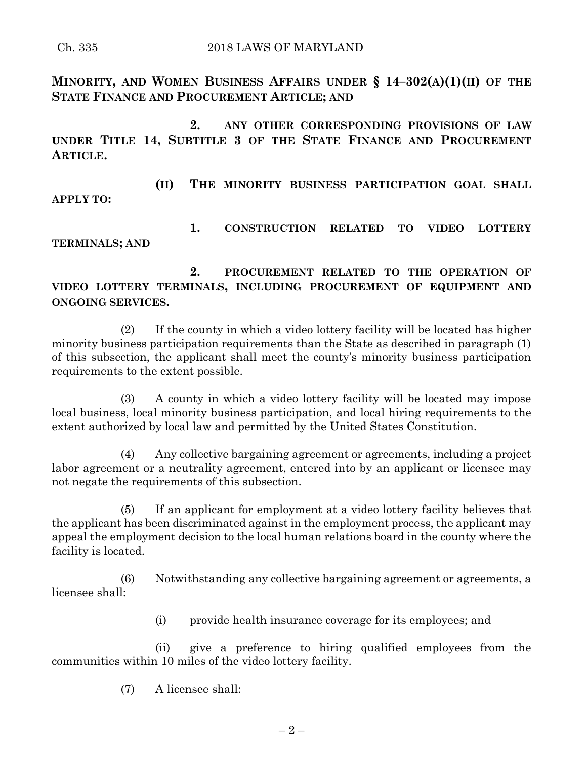**MINORITY, AND WOMEN BUSINESS AFFAIRS UNDER § 14–302(A)(1)(II) OF THE STATE FINANCE AND PROCUREMENT ARTICLE; AND** 

**2. ANY OTHER CORRESPONDING PROVISIONS OF LAW UNDER TITLE 14, SUBTITLE 3 OF THE STATE FINANCE AND PROCUREMENT ARTICLE.**

**(II) THE MINORITY BUSINESS PARTICIPATION GOAL SHALL APPLY TO:**

**1. CONSTRUCTION RELATED TO VIDEO LOTTERY TERMINALS; AND**

**2. PROCUREMENT RELATED TO THE OPERATION OF VIDEO LOTTERY TERMINALS, INCLUDING PROCUREMENT OF EQUIPMENT AND ONGOING SERVICES.**

(2) If the county in which a video lottery facility will be located has higher minority business participation requirements than the State as described in paragraph (1) of this subsection, the applicant shall meet the county's minority business participation requirements to the extent possible.

(3) A county in which a video lottery facility will be located may impose local business, local minority business participation, and local hiring requirements to the extent authorized by local law and permitted by the United States Constitution.

(4) Any collective bargaining agreement or agreements, including a project labor agreement or a neutrality agreement, entered into by an applicant or licensee may not negate the requirements of this subsection.

(5) If an applicant for employment at a video lottery facility believes that the applicant has been discriminated against in the employment process, the applicant may appeal the employment decision to the local human relations board in the county where the facility is located.

(6) Notwithstanding any collective bargaining agreement or agreements, a licensee shall:

(i) provide health insurance coverage for its employees; and

(ii) give a preference to hiring qualified employees from the communities within 10 miles of the video lottery facility.

(7) A licensee shall: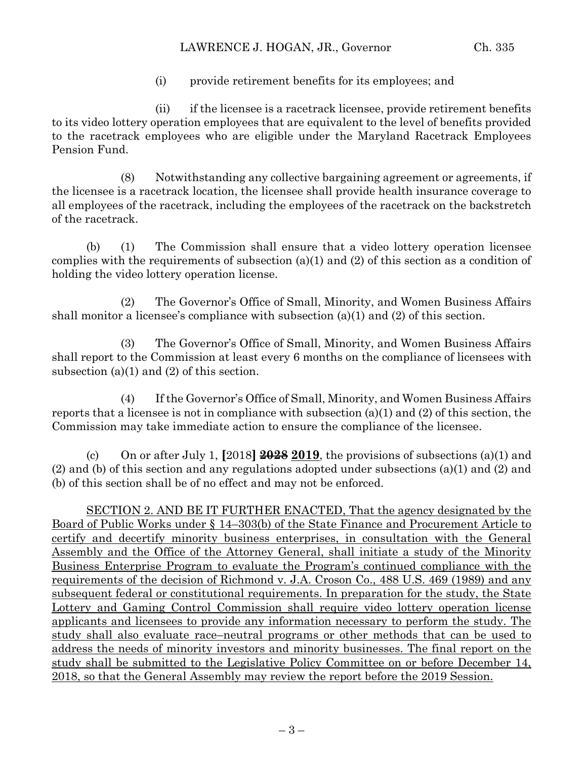(i) provide retirement benefits for its employees; and

(ii) if the licensee is a racetrack licensee, provide retirement benefits to its video lottery operation employees that are equivalent to the level of benefits provided to the racetrack employees who are eligible under the Maryland Racetrack Employees Pension Fund.

(8) Notwithstanding any collective bargaining agreement or agreements, if the licensee is a racetrack location, the licensee shall provide health insurance coverage to all employees of the racetrack, including the employees of the racetrack on the backstretch of the racetrack.

(b) (1) The Commission shall ensure that a video lottery operation licensee complies with the requirements of subsection (a)(1) and (2) of this section as a condition of holding the video lottery operation license.

(2) The Governor's Office of Small, Minority, and Women Business Affairs shall monitor a licensee's compliance with subsection (a)(1) and (2) of this section.

(3) The Governor's Office of Small, Minority, and Women Business Affairs shall report to the Commission at least every 6 months on the compliance of licensees with subsection (a)(1) and (2) of this section.

(4) If the Governor's Office of Small, Minority, and Women Business Affairs reports that a licensee is not in compliance with subsection  $(a)(1)$  and  $(2)$  of this section, the Commission may take immediate action to ensure the compliance of the licensee.

(c) On or after July 1, **[**2018**] 2028 2019**, the provisions of subsections (a)(1) and (2) and (b) of this section and any regulations adopted under subsections (a)(1) and (2) and (b) of this section shall be of no effect and may not be enforced.

SECTION 2. AND BE IT FURTHER ENACTED, That the agency designated by the Board of Public Works under § 14–303(b) of the State Finance and Procurement Article to certify and decertify minority business enterprises, in consultation with the General Assembly and the Office of the Attorney General, shall initiate a study of the Minority Business Enterprise Program to evaluate the Program's continued compliance with the requirements of the decision of Richmond v. J.A. Croson Co., 488 U.S. 469 (1989) and any subsequent federal or constitutional requirements. In preparation for the study, the State Lottery and Gaming Control Commission shall require video lottery operation license applicants and licensees to provide any information necessary to perform the study. The study shall also evaluate race–neutral programs or other methods that can be used to address the needs of minority investors and minority businesses. The final report on the study shall be submitted to the Legislative Policy Committee on or before December 14, 2018, so that the General Assembly may review the report before the 2019 Session.